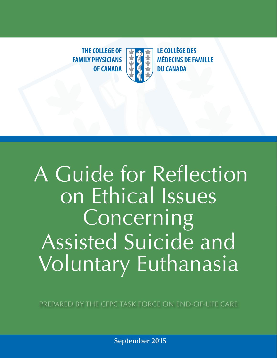**THE COLLEGE OF LE COLLÈGE DES FAMILY PHYSICIANS WE ALL SET AND FAMILY PHYSICIANS WE ARE ALL MEDECINS DE FAMIL OF CANADA**  $\mathbf{R}$  **+**  $\mathbf{A}$  **+ DU CANADA** 

**THE COLLEGE OF**

**FAMILY PHYSICIANS**



**MÉDECINS DE FAMILLE**

# **OF CANADAR**<br> **OF CANADAR** A Guide for Reflection on Ethical Issues **Concerning** Assisted Suicide and Voluntary Euthanasia

PREPARED BY THE CFPC TASK FORCE ON END-OF-LIFE CARE

**September 2015**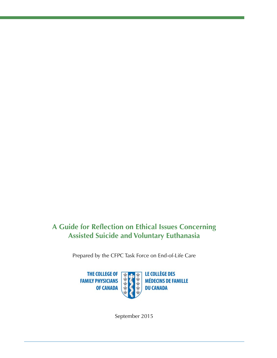#### **A Guide for Reflection on Ethical Issues Concerning Assisted Suicide and Voluntary Euthanasia**

Prepared by the CFPC Task Force on End-of-Life Care



September 2015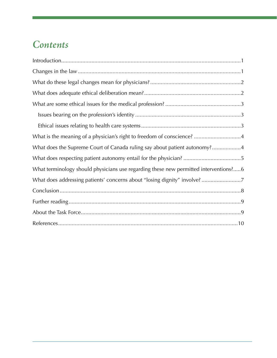## *Contents*

| What is the meaning of a physician's right to freedom of conscience? 4               |
|--------------------------------------------------------------------------------------|
| What does the Supreme Court of Canada ruling say about patient autonomy?4            |
|                                                                                      |
| What terminology should physicians use regarding these new permitted interventions?6 |
| What does addressing patients' concerns about "losing dignity" involve?7             |
|                                                                                      |
|                                                                                      |
|                                                                                      |
|                                                                                      |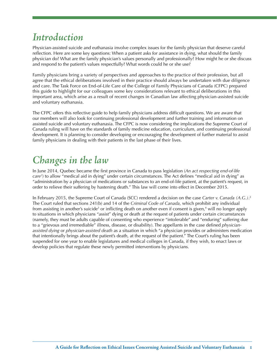## *Introduction*

Physician-assisted suicide and euthanasia involve complex issues for the family physician that deserve careful reflection. Here are some key questions: When a patient asks for assistance in dying, what should the family physician do? What are the family physician's values personally and professionally? How might he or she discuss and respond to the patient's values respectfully? What words could he or she use?

Family physicians bring a variety of perspectives and approaches to the practice of their profession, but all agree that the ethical deliberations involved in their practice should always be undertaken with due diligence and care. The Task Force on End-of-Life Care of the College of Family Physicians of Canada (CFPC) prepared this guide to highlight for our colleagues some key considerations relevant to ethical deliberations in this important area, which arise as a result of recent changes in Canadian law affecting physician-assisted suicide and voluntary euthanasia.

The CFPC offers this reflective guide to help family physicians address difficult questions. We are aware that our members will also look for continuing professional development and further training and information on assisted suicide and voluntary euthanasia. The CFPC is now considering the implications the Supreme Court of Canada ruling will have on the standards of family medicine education, curriculum, and continuing professional development. It is planning to consider developing or encouraging the development of further material to assist family physicians in dealing with their patients in the last phase of their lives.

#### *Changes in the law*

In June 2014, Quebec became the first province in Canada to pass legislation (*An act respecting end-of-life care1* ) to allow "medical aid in dying" under certain circumstances. The Act defines "medical aid in dying" as "administration by a physician of medications or substances to an end-of-life patient, at the patient's request, in order to relieve their suffering by hastening death." This law will come into effect in December 2015.

In February 2015, the Supreme Court of Canada (SCC) rendered a decision on the case *Carter v. Canada (A.G.)*. 2 The Court ruled that sections 241(b) and 14 of the *Criminal Code of Canada*, which prohibit any individual from assisting in another's suicide<sup>3</sup> or inflicting death on another even if consent is given,<sup>4</sup> will no longer apply to situations in which physicians "assist" dying or death at the request of patients under certain circumstances (namely, they must be adults capable of consenting who experience "intolerable" and "enduring" suffering due to a "grievous and irremediable" illness, disease, or disability). The appellants in the case defined *physicianassisted dying* or *physician-assisted death* as a situation in which "a physician provides or administers medication that intentionally brings about the patient's death, at the request of the patient." The Court's ruling has been suspended for one year to enable legislatures and medical colleges in Canada, if they wish, to enact laws or develop policies that regulate these newly permitted interventions by physicians.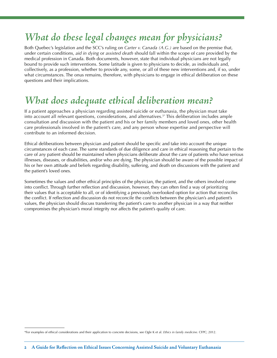# *What do these legal changes mean for physicians?*

Both Quebec's legislation and the SCC's ruling on *Carter v. Canada (A.G.)* are based on the premise that, under certain conditions, *aid in dying* or *assisted death* should fall within the scope of care provided by the medical profession in Canada. Both documents, however, state that individual physicians are not legally bound to provide such interventions. Some latitude is given to physicians to decide, as individuals and, collectively, as a profession, whether to provide any, some, or all of these new interventions and, if so, under what circumstances. The onus remains, therefore, with physicians to engage in ethical deliberation on these questions and their implications.

#### *What does adequate ethical deliberation mean?*

If a patient approaches a physician regarding assisted suicide or euthanasia, the physician must take into account all relevant questions, considerations, and alternatives.5\* This deliberation includes ample consultation and discussion with the patient and his or her family members and loved ones, other health care professionals involved in the patient's care, and any person whose expertise and perspective will contribute to an informed decision.

Ethical deliberations between physician and patient should be specific and take into account the unique circumstances of each case. The same standards of due diligence and care in ethical reasoning that pertain to the care of *any* patient should be maintained when physicians deliberate about the care of patients who have serious illnesses, diseases, or disabilities, and/or who are dying. The physician should be aware of the possible impact of his or her own attitude and beliefs regarding disability, suffering, and death on discussions with the patient and the patient's loved ones.

Sometimes the values and other ethical principles of the physician, the patient, and the others involved come into conflict. Through further reflection and discussion, however, they can often find a way of prioritizing their values that is acceptable to all, or of identifying a previously overlooked option for action that reconciles the conflict. If reflection and discussion do not reconcile the conflicts between the physician's and patient's values, the physician should discuss transferring the patient's care to another physician in a way that neither compromises the physician's moral integrity nor affects the patient's quality of care.

<sup>\*</sup>For examples of ethical considerations and their application to concrete decisions, see Ogle K et al. *Ethics in family medicine.* CFPC; 2012.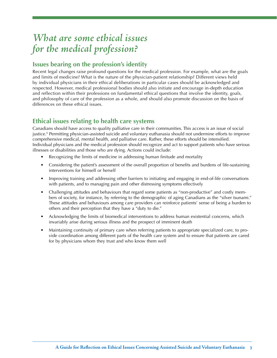#### *What are some ethical issues for the medical profession?*

#### **Issues bearing on the profession's identity**

Recent legal changes raise profound questions for the medical profession. For example, what are the goals and limits of medicine? What is the nature of the physician-patient relationship? Different views held by individual physicians in their ethical deliberations in particular cases should be acknowledged and respected. However, medical professional bodies should also initiate and encourage in-depth education and reflection within their professions on fundamental ethical questions that involve the identity, goals, and philosophy of care of the profession as a whole, and should also promote discussion on the basis of differences on these ethical issues.

#### **Ethical issues relating to health care systems**

Canadians should have access to quality palliative care in their communities. This access is an issue of social justice.<sup>6</sup> Permitting physician-assisted suicide and voluntary euthanasia should not undermine efforts to improve comprehensive medical, mental health, and palliative care. Rather, these efforts should be intensified. Individual physicians and the medical profession should recognize and act to support patients who have serious illnesses or disabilities and those who are dying. Actions could include:

- Recognizing the limits of medicine in addressing human finitude and mortality
- Considering the patient's assessment of the overall proportion of benefits and burdens of life-sustaining interventions for himself or herself
- Improving training and addressing other barriers to initiating and engaging in end-of-life conversations with patients, and to managing pain and other distressing symptoms effectively
- Challenging attitudes and behaviours that regard some patients as "non-productive" and costly members of society, for instance, by referring to the demographic of aging Canadians as the "silver tsunami." These attitudes and behaviours among care providers can reinforce patients' sense of being a burden to others and their perception that they have a "duty to die."
- Acknowledging the limits of biomedical interventions to address human existential concerns, which invariably arise during serious illness and the prospect of imminent death
- Maintaining continuity of primary care when referring patients to appropriate specialized care, to provide coordination among different parts of the health care system and to ensure that patients are cared for by physicians whom they trust and who know them well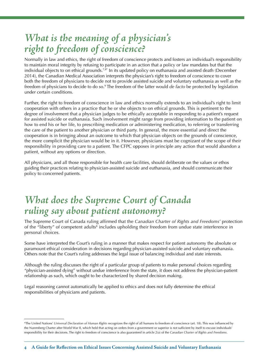#### *What is the meaning of a physician's right to freedom of conscience?*

Normally in law and ethics, the right of freedom of conscience protects and fosters an individual's responsibility to maintain moral integrity by refusing to participate in an action that a policy or law mandates but that the individual objects to on ethical grounds.<sup>7,8\*</sup> In its updated policy on euthanasia and assisted death (December 2014), the Canadian Medical Association interprets the physician's right to freedom of conscience to cover both the freedom of physicians to decide not to provide assisted suicide and voluntary euthanasia as well as the freedom of physicians to decide to do so.9 The freedom of the latter would *de facto* be protected by legislation under certain conditions.

Further, the right to freedom of conscience in law and ethics normally extends to an individual's right to limit cooperation with others in a practice that he or she objects to on ethical grounds. This is pertinent to the degree of involvement that a physician judges to be ethically acceptable in responding to a patient's request for assisted suicide or euthanasia. Such involvement might range from providing information to the patient on how to end his or her life, to prescribing medication or administering medication, to referring or transferring the care of the patient to another physician or third party. In general, the more essential and direct the cooperation is in bringing about an outcome to which that physician objects on the grounds of conscience, the more complicit the physician would be in it. However, physicians must be cognizant of the scope of their responsibility in providing care to a patient. The CFPC opposes in principle any action that would abandon a patient, without any options or direction.

All physicians, and all those responsible for health care facilities, should deliberate on the values or ethos guiding their practices relating to physician-assisted suicide and euthanasia, and should communicate their policy to concerned patients.

#### *What does the Supreme Court of Canada ruling say about patient autonomy?*

The Supreme Court of Canada ruling affirmed that the *Canadian Charter of Rights and Freedoms'* protection of the "liberty" of competent adults<sup>8</sup> includes upholding their freedom from undue state interference in personal choices.

Some have interpreted the Court's ruling in a manner that makes respect for patient autonomy the absolute or paramount ethical consideration in decisions regarding physician-assisted suicide and voluntary euthanasia. Others note that the Court's ruling addresses the legal issue of balancing individual and state interests.

Although the ruling discusses the right of a particular group of patients to make personal choices regarding "physician-assisted dying" without undue interference from the state, it does not address the physician-patient relationship as such, which ought to be characterized by shared decision making.

Legal reasoning cannot automatically be applied to ethics and does not fully determine the ethical responsibilities of physicians and patients.

<sup>\*</sup>The United Nations' *Universal Declaration of Human Rights* recognizes the right of all humans to freedom of conscience (art. 18). This was influenced by the Nuremberg Charter after World War II, which held that acting on orders from a government or superior is not sufficient by itself to excuse individuals' responsibility for their decisions. The right to freedom of conscience is also guaranteed in article 2(a) of the *Canadian Charter of Rights and Freedoms*.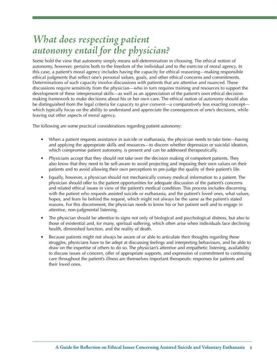#### *What does respecting patient autonomy entail for the physician?*

Some hold the view that autonomy simply means self-determination in choosing. The ethical notion of autonomy, however, pertains both to the freedom of the individual and to the exercise of moral agency. In this case, a patient's moral agency includes having the capacity for ethical reasoning—making responsible ethical judgments that reflect one's personal values, goals, and other ethical concerns and commitments. Determinations of such capacity involve discussions with patients that are attentive and nuanced. These discussions require sensitivity from the physician—who in turn requires training and resources to support the development of these interpersonal skills—as well as an appreciation of the patient's own ethical decisionmaking framework to make decisions about his or her own care. The ethical notion of *autonomy* should also be distinguished from the legal criteria for *capacity to give consent*—a comparatively less exacting concept which typically focus on the ability to understand and appreciate the consequences of one's decisions, while leaving out other aspects of moral agency.

The following are some practical considerations regarding patient autonomy:

- When a patient requests assistance in suicide or euthanasia, the physician needs to take time—having and applying the appropriate skills and resources—to discern whether depression or suicidal ideation, which compromise patient autonomy, is present and can be addressed therapeutically.
- Physicians accept that they should not take over the decision making of competent patients. They also know that they need to be self-aware to avoid projecting and imposing their own values on their patients and to avoid allowing their own perceptions to pre-judge the quality of their patient's life.
- Equally, however, a physician should not mechanically convey medical information to a patient. The physician should offer to the patient opportunities for adequate discussion of the patient's concerns and related ethical issues in view of the patient's medical condition. This process includes discerning with the patient who requests assisted suicide or euthanasia, and the patient's loved ones, what values, hopes, and fears lie behind the request, which might not always be the same as the patient's stated reasons. For this discernment, the physician needs to know his or her patient well and to engage in attentive, non-judgmental listening.
- The physician should be attentive to signs not only of biological and psychological distress, but also to those of existential and, for many, spiritual suffering, which often arise when individuals face declining health, diminished function, and the reality of death.
- Because patients might not always be aware of or able to articulate their thoughts regarding these struggles, physicians have to be adept at discussing feelings and interpreting behaviours, and be able to draw on the expertise of others to do so. The physician's attentive and empathetic listening, availability to discuss issues of concern, offer of appropriate supports, and expression of commitment to continuing care throughout the patient's illness are themselves important therapeutic responses for patients and their loved ones.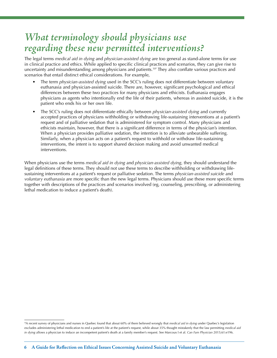#### *What terminology should physicians use regarding these new permitted interventions?*

The legal terms *medical aid in dying* and *physician-assisted dying* are too general as stand-alone terms for use in clinical practice and ethics. While applied to specific clinical practices and scenarios, they can give rise to uncertainty and misunderstanding among physicians and patients.<sup>10\*</sup> They also conflate various practices and scenarios that entail distinct ethical considerations. For example,

- The term *physician-assisted dying* used in the SCC's ruling does not differentiate between voluntary euthanasia and physician-assisted suicide. There are, however, significant psychological and ethical differences between these two practices for many physicians and ethicists. Euthanasia engages physicians as agents who intentionally end the life of their patients, whereas in assisted suicide, it is the patient who ends his or her own life.
- The SCC's ruling does not differentiate ethically between *physician-assisted dying* and currently accepted practices of physicians withholding or withdrawing life-sustaining interventions at a patient's request and of palliative sedation that is administered for symptom control. Many physicians and ethicists maintain, however, that there is a significant difference in terms of the physician's intention. When a physician provides palliative sedation, the intention is to alleviate unbearable suffering. Similarly, when a physician acts on a patient's request to withhold or withdraw life-sustaining interventions, the intent is to support shared decision making and avoid unwanted medical interventions.

When physicians use the terms *medical aid in dying* and *physician-assisted dying*, they should understand the legal definitions of these terms. They should not use these terms to describe withholding or withdrawing lifesustaining interventions at a patient's request or palliative sedation. The terms *physician-assisted suicide* and *voluntary euthanasia* are more specific than the new legal terms. Physicians should use these more specific terms together with descriptions of the practices and scenarios involved (eg, counseling, prescribing, or administering lethal medication to induce a patient's death).

<sup>\*</sup>A recent survey of physicians and nurses in Quebec found that about 60% of them believed wrongly that *medical aid in dying* under Quebec's legislation excludes administering lethal medication to end a patient's life at the patient's request, while about 35% thought mistakenly that the law permitting *medical aid in dying* allows a physician to induce an incompetent patient's death at a family member's request. See Marcoux I et al. *Can Fam Physician* 2015;61:e196.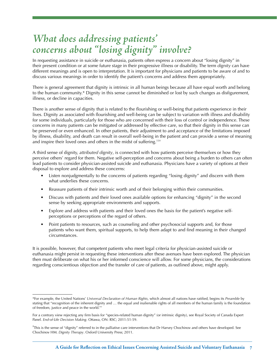#### *What does addressing patients' concerns about "losing dignity" involve?*

In requesting assistance in suicide or euthanasia, patients often express a concern about "losing dignity" in their present condition or at some future stage in their progressive illness or disability. The term *dignity* can have different meanings and is open to interpretation. It is important for physicians and patients to be aware of and to discuss various meanings in order to identify the patient's concerns and address them appropriately.

There is general agreement that dignity is intrinsic in all human beings because all have equal worth and belong to the human community.\* Dignity in this sense cannot be diminished or lost by such changes as disfigurement, illness, or decline in capacities.

There is another sense of dignity that is related to the flourishing or well-being that patients experience in their lives. Dignity as associated with flourishing and well-being can be subject to variation with illness and disability for some individuals, particularly for those who are concerned with their loss of control or independence. These concerns in many patients can be mitigated or addressed by effective care, so that their dignity in this sense can be preserved or even enhanced. In other patients, their adjustment to and acceptance of the limitations imposed by illness, disability, and death can result in overall well-being in the patient and can provide a sense of meaning and inspire their loved ones and others in the midst of [suffering.11](https://suffering.11)†

A third sense of dignity, *attributed dignity*, is connected with how patients perceive themselves or how they perceive others' regard for them. Negative self-perception and concerns about being a burden to others can often lead patients to consider physician-assisted suicide and euthanasia. Physicians have a variety of options at their disposal to explore and address these concerns:

- Listen nonjudgmentally to the concerns of patients regarding "losing dignity" and discern with them what underlies these concerns.
- Reassure patients of their intrinsic worth and of their belonging within their communities.
- Discuss with patients and their loved ones available options for enhancing "dignity" in the second sense by seeking appropriate environments and supports.
- Explore and address with patients and their loved ones the basis for the patient's negative selfperceptions or perceptions of the regard of others.
- Point patients to resources, such as counseling and other psychosocial supports and, for those patients who want them, spiritual supports, to help them adapt to and find meaning in their changed circumstances.

It is possible, however, that competent patients who meet legal criteria for physician-assisted suicide or euthanasia might persist in requesting these interventions after these avenues have been explored. The physician then must deliberate on what his or her informed conscience will allow. For some physicians, the considerations regarding conscientious objection and the transfer of care of patients, as outlined above, might apply.

<sup>\*</sup>For example, the United Nations' *Universal Declaration of Human Rights*, which almost all nations have ratified, begins its *Preamble* by stating that "recognition of the inherent dignity and … the equal and inalienable rights of all members of the human family is the foundation of freedom, justice and peace in the world."7

For a contrary view rejecting any firm basis for "species-related human dignity" (or intrinsic dignity), see Royal Society of Canada Expert Panel. *End-of-Life Decision Making*. Ottawa, ON: RSC; 2011:51-59.

<sup>†</sup> This is the sense of "dignity" referred to in the palliative care interventions that Dr Harvey Chochinov and others have developed. See Chochinov HM. *Dignity Therapy*. Oxford University Press; 2011.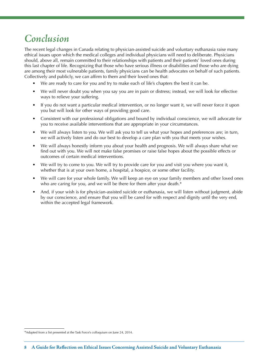#### *Conclusion*

The recent legal changes in Canada relating to physician-assisted suicide and voluntary euthanasia raise many ethical issues upon which the medical colleges and individual physicians will need to deliberate. Physicians should, above all, remain committed to their relationships with patients and their patients' loved ones during this last chapter of life. Recognizing that those who have serious illness or disabilities and those who are dying are among their most vulnerable patients, family physicians can be health advocates on behalf of such patients. Collectively and publicly, we can affirm to them and their loved ones that:

- We are ready to care for you and try to make each of life's chapters the best it can be.
- We will never doubt you when you say you are in pain or distress; instead, we will look for effective ways to relieve your suffering.
- If you do not want a particular medical intervention, or no longer want it, we will never force it upon you but will look for other ways of providing good care.
- Consistent with our professional obligations and bound by individual conscience, we will advocate for you to receive available interventions that are appropriate in your circumstances.
- We will always listen to you. We will ask you to tell us what your hopes and preferences are; in turn, we will actively listen and do our best to develop a care plan with you that meets your wishes.
- We will always honestly inform you about your health and prognosis. We will always share what we find out with you. We will not make false promises or raise false hopes about the possible effects or outcomes of certain medical interventions.
- We will try to come to you. We will try to provide care for you and visit you where you want it, whether that is at your own home, a hospital, a hospice, or some other facility.
- We will care for your whole family. We will keep an eye on your family members and other loved ones who are caring for you, and we will be there for them after your death.\*
- And, if your wish is for physician-assisted suicide or euthanasia, we will listen without judgment, abide by our conscience, and ensure that you will be cared for with respect and dignity until the very end, within the accepted legal framework.

<sup>\*</sup>Adapted from a list presented at the Task Force's colloquium on June 24, 2014.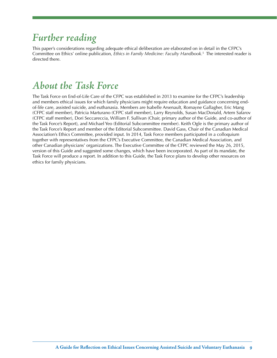## *Further reading*

 Committee on Ethics' online publication, *Ethics in Family Medicine: Faculty Handbook.*5 The interested reader is This paper's considerations regarding adequate ethical deliberation are elaborated on in detail in the CFPC's directed there.

#### *About the Task Force*

The Task Force on End-of-Life Care of the CFPC was established in 2013 to examine for the CFPC's leadership and members ethical issues for which family physicians might require education and guidance concerning endof-life care, assisted suicide, and euthanasia. Members are Isabelle Arsenault, Romayne Gallagher, Eric Mang (CFPC staff member), Patricia Marturano (CFPC staff member), Larry Reynolds, Susan MacDonald, Artem Safarov (CFPC staff member), Dori Seccareccia, William F. Sullivan (Chair, primary author of the Guide, and co-author of the Task Force's Report), and Michael Yeo (Editorial Subcommittee member). Keith Ogle is the primary author of the Task Force's Report and member of the Editorial Subcommittee. David Gass, Chair of the Canadian Medical Association's Ethics Committee, provided input. In 2014, Task Force members participated in a colloquium together with representatives from the CFPC's Executive Committee, the Canadian Medical Association, and other Canadian physicians' organizations. The Executive Committee of the CFPC reviewed the May 26, 2015, version of this Guide and suggested some changes, which have been incorporated. As part of its mandate, the Task Force will produce a report. In addition to this Guide, the Task Force plans to develop other resources on ethics for family physicians.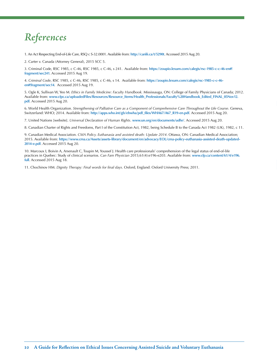# *References*

1. An Act Respecting End-of-Life Care, RSQ c S-32.0001. Available from: **<http://canlii.ca/t/5290t>**. Accessed 2015 Aug 20.

2. Carter v. Canada (Attorney General), 2015 SCC 5.

3. Criminal Code, RSC 1985, c C-46, RSC 1985, c C-46, s 241. Available from: **[https://zoupio.lexum.com/calegis/rsc-1985-c-c-46-en#!](https://zoupio.lexum.com/calegis/rsc-1985-c-c-46-en#!fragment/sec241)  [fragment/sec241](https://zoupio.lexum.com/calegis/rsc-1985-c-c-46-en#!fragment/sec241)**. Accessed 2015 Aug 19.

4. *Criminal Code*, RSC 1985, c C-46, RSC 1985, c C-46, s 14. Available from: **[https://zoupio.lexum.com/calegis/rsc-1985-c-c-46](https://zoupio.lexum.com/calegis/rsc-1985-c-c-46-en#!fragment/sec14) [en#!fragment/sec14](https://zoupio.lexum.com/calegis/rsc-1985-c-c-46-en#!fragment/sec14)**. Accessed 2015 Aug 19.

5. Ogle K, Sullivan W, Yeo M. *Ethics in Family Medicine: Faculty Handbook.* Mississauga, ON: College of Family Physicians of Canada; 2012. Available from: **[www.cfpc.ca/uploadedFiles/Resources/Resource\\_Items/Health\\_Professionals/Faculty%20Handbook\\_Edited\\_FINAL\\_05Nov12.](www.cfpc.ca/uploadedFiles/Resources/Resource_Items/Health_Professionals/Faculty%20Handbook_Edited_FINAL_05Nov12) pdf**. Accessed 2015 Aug 20.

6. World Health Organization. *Strengthening of Palliative Care as a Component of Comprehensive Care Throughout the Life Course*. Geneva, Switzerland: WHO; 2014. Available from: **[http://apps.who.int/gb/ebwha/pdf\\_files/WHA67/A67\\_R19-en.pdf](http://apps.who.int/gb/ebwha/pdf_files/WHA67/A67_R19-en.pdf)**. Accessed 2015 Aug 20.

7. United Nations [website]. *Universal Declaration of Human Rights*. **[www.un.org/en/documents/udhr/](http://www.un.org/en/documents/udhr/)**. Accessed 2015 Aug 20.

8. Canadian Charter of Rights and Freedoms, Part I of the Constitution Act, 1982, being Schedule B to the Canada Act 1982 (UK), 1982, c 11.

9. Canadian Medical Association. *CMA Policy. Euthanasia and assisted death: Update 2014*. Ottawa, ON: Canadian Medical Association; 2015. Available from: **https://www.cma.ca/Assets/assets-library/document/en/advocacy/EOL/cma-policy-euthanasia-assisted-death-updated-2014-e.pdf**. Accessed 2015 Aug 20.

9 Canadian Modelal Association, CAM-bear, Euclideania and associated their Uppolne 2014. Channa District Institute and The Upper Contents (College College College College College College College College College College Col 10. Marcoux I, Boivin A, Arsenault C, Toupin M, Youssef J. Health care professionals' comprehension of the legal status of end-of-life practices in Quebec: Study of clinical scenarios. *Can Fam Physician* 2015;61(4):e196-e203. Available from: **[www.cfp.ca/content/61/4/e196.](www.cfp.ca/content/61/4/e196) full**. Accessed 2015 Aug 18.

11. Chochinov HM. *Dignity Therapy: Final words for final days*. Oxford, England: Oxford University Press; 2011.